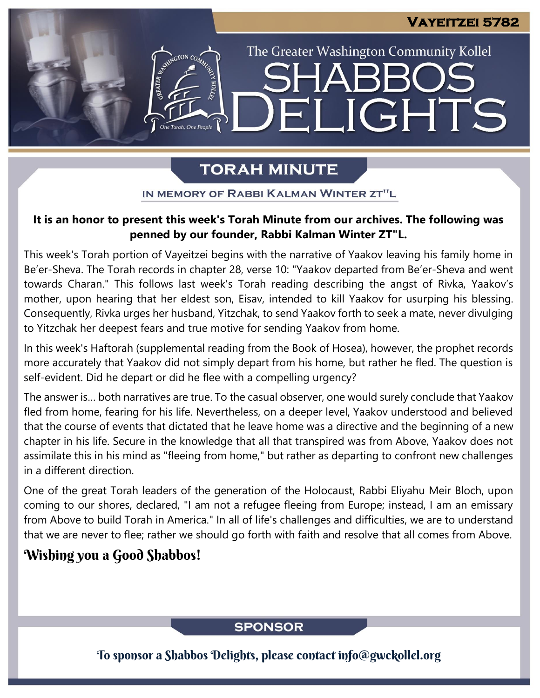The Greater Washington Community Kollel

ELIGHTS

# **TORAH MINUTE**

IN MEMORY OF RABBI KALMAN WINTER ZT"L

## **It is an honor to present this week's Torah Minute from our archives. The following was penned by our founder, Rabbi Kalman Winter ZT"L.**

This week's Torah portion of Vayeitzei begins with the narrative of Yaakov leaving his family home in Be'er-Sheva. The Torah records in chapter 28, verse 10: "Yaakov departed from Be'er-Sheva and went towards Charan." This follows last week's Torah reading describing the angst of Rivka, Yaakov's mother, upon hearing that her eldest son, Eisav, intended to kill Yaakov for usurping his blessing. Consequently, Rivka urges her husband, Yitzchak, to send Yaakov forth to seek a mate, never divulging to Yitzchak her deepest fears and true motive for sending Yaakov from home.

In this week's Haftorah (supplemental reading from the Book of Hosea), however, the prophet records more accurately that Yaakov did not simply depart from his home, but rather he fled. The question is self-evident. Did he depart or did he flee with a compelling urgency?

The answer is… both narratives are true. To the casual observer, one would surely conclude that Yaakov fled from home, fearing for his life. Nevertheless, on a deeper level, Yaakov understood and believed that the course of events that dictated that he leave home was a directive and the beginning of a new chapter in his life. Secure in the knowledge that all that transpired was from Above, Yaakov does not assimilate this in his mind as "fleeing from home," but rather as departing to confront new challenges in a different direction.

One of the great Torah leaders of the generation of the Holocaust, Rabbi Eliyahu Meir Bloch, upon coming to our shores, declared, "I am not a refugee fleeing from Europe; instead, I am an emissary from Above to build Torah in America." In all of life's challenges and difficulties, we are to understand that we are never to flee; rather we should go forth with faith and resolve that all comes from Above.

## Wishing you a Good Shabbos!

## **SPONSOR**

To sponsor a Shabbos Delights, please contact info@gwckollel.org